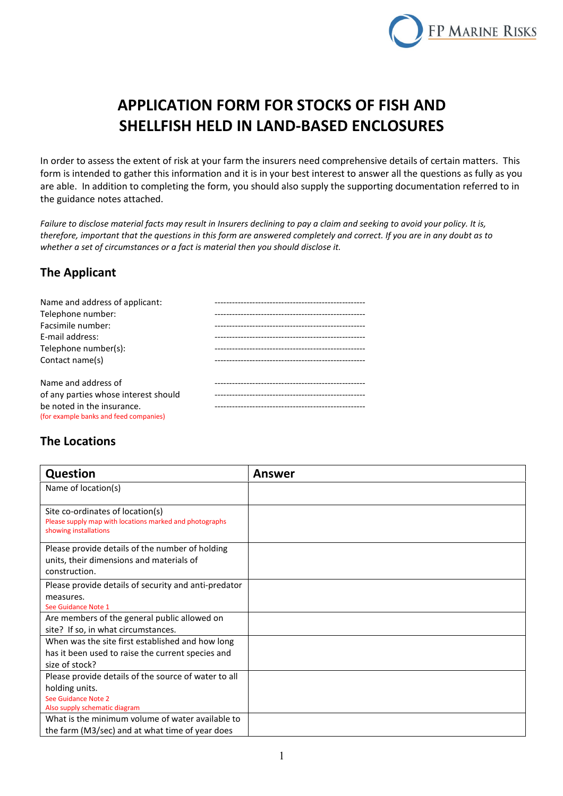

# **APPLICATION FORM FOR STOCKS OF FISH AND SHELLFISH HELD IN LAND-BASED ENCLOSURES**

In order to assess the extent of risk at your farm the insurers need comprehensive details of certain matters. This form is intended to gather this information and it is in your best interest to answer all the questions as fully as you are able. In addition to completing the form, you should also supply the supporting documentation referred to in the guidance notes attached.

*Failure to disclose material facts may result in Insurers declining to pay a claim and seeking to avoid your policy. It is, therefore, important that the questions in this form are answered completely and correct. If you are in any doubt as to whether a set of circumstances or a fact is material then you should disclose it.*

### **The Applicant**

| Name and address of applicant:         | -------------------------------------- |
|----------------------------------------|----------------------------------------|
| Telephone number:                      |                                        |
| Facsimile number:                      |                                        |
| E-mail address:                        |                                        |
| Telephone number(s):                   |                                        |
| Contact name(s)                        |                                        |
|                                        |                                        |
| Name and address of                    |                                        |
| of any parties whose interest should   |                                        |
| be noted in the insurance.             |                                        |
| (for example banks and feed companies) |                                        |

### **The Locations**

| <b>Question</b>                                                                                                                                                                                                                                         | <b>Answer</b> |
|---------------------------------------------------------------------------------------------------------------------------------------------------------------------------------------------------------------------------------------------------------|---------------|
| Name of location(s)                                                                                                                                                                                                                                     |               |
| Site co-ordinates of location(s)<br>Please supply map with locations marked and photographs<br>showing installations                                                                                                                                    |               |
| Please provide details of the number of holding<br>units, their dimensions and materials of<br>construction.                                                                                                                                            |               |
| Please provide details of security and anti-predator                                                                                                                                                                                                    |               |
| measures.                                                                                                                                                                                                                                               |               |
| See Guidance Note 1                                                                                                                                                                                                                                     |               |
| Are members of the general public allowed on<br>site? If so, in what circumstances.                                                                                                                                                                     |               |
| When was the site first established and how long                                                                                                                                                                                                        |               |
|                                                                                                                                                                                                                                                         |               |
| has it been used to raise the current species and                                                                                                                                                                                                       |               |
|                                                                                                                                                                                                                                                         |               |
|                                                                                                                                                                                                                                                         |               |
|                                                                                                                                                                                                                                                         |               |
|                                                                                                                                                                                                                                                         |               |
|                                                                                                                                                                                                                                                         |               |
|                                                                                                                                                                                                                                                         |               |
| size of stock?<br>Please provide details of the source of water to all<br>holding units.<br>See Guidance Note 2<br>Also supply schematic diagram<br>What is the minimum volume of water available to<br>the farm (M3/sec) and at what time of year does |               |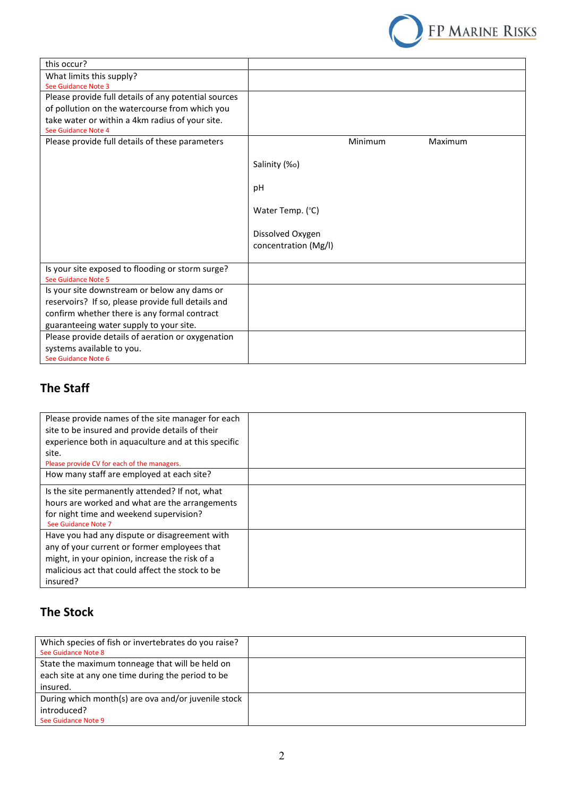

| this occur?                                          |                      |         |         |
|------------------------------------------------------|----------------------|---------|---------|
| What limits this supply?                             |                      |         |         |
| See Guidance Note 3                                  |                      |         |         |
| Please provide full details of any potential sources |                      |         |         |
| of pollution on the watercourse from which you       |                      |         |         |
| take water or within a 4km radius of your site.      |                      |         |         |
| See Guidance Note 4                                  |                      |         |         |
| Please provide full details of these parameters      |                      | Minimum | Maximum |
|                                                      |                      |         |         |
|                                                      | Salinity (%o)        |         |         |
|                                                      |                      |         |         |
|                                                      | pH                   |         |         |
|                                                      |                      |         |         |
|                                                      | Water Temp. (°C)     |         |         |
|                                                      |                      |         |         |
|                                                      | Dissolved Oxygen     |         |         |
|                                                      | concentration (Mg/I) |         |         |
|                                                      |                      |         |         |
| Is your site exposed to flooding or storm surge?     |                      |         |         |
| See Guidance Note 5                                  |                      |         |         |
| Is your site downstream or below any dams or         |                      |         |         |
| reservoirs? If so, please provide full details and   |                      |         |         |
| confirm whether there is any formal contract         |                      |         |         |
| guaranteeing water supply to your site.              |                      |         |         |
| Please provide details of aeration or oxygenation    |                      |         |         |
| systems available to you.                            |                      |         |         |
| See Guidance Note 6                                  |                      |         |         |

## **The Staff**

| Please provide names of the site manager for each<br>site to be insured and provide details of their<br>experience both in aquaculture and at this specific<br>site.<br>Please provide CV for each of the managers. |  |
|---------------------------------------------------------------------------------------------------------------------------------------------------------------------------------------------------------------------|--|
| How many staff are employed at each site?                                                                                                                                                                           |  |
| Is the site permanently attended? If not, what<br>hours are worked and what are the arrangements<br>for night time and weekend supervision?<br>See Guidance Note 7                                                  |  |
| Have you had any dispute or disagreement with<br>any of your current or former employees that<br>might, in your opinion, increase the risk of a<br>malicious act that could affect the stock to be<br>insured?      |  |

## **The Stock**

| Which species of fish or invertebrates do you raise?<br>See Guidance Note 8 |  |
|-----------------------------------------------------------------------------|--|
| State the maximum tonneage that will be held on                             |  |
| each site at any one time during the period to be                           |  |
| insured.                                                                    |  |
| During which month(s) are ova and/or juvenile stock                         |  |
| introduced?                                                                 |  |
| See Guidance Note 9                                                         |  |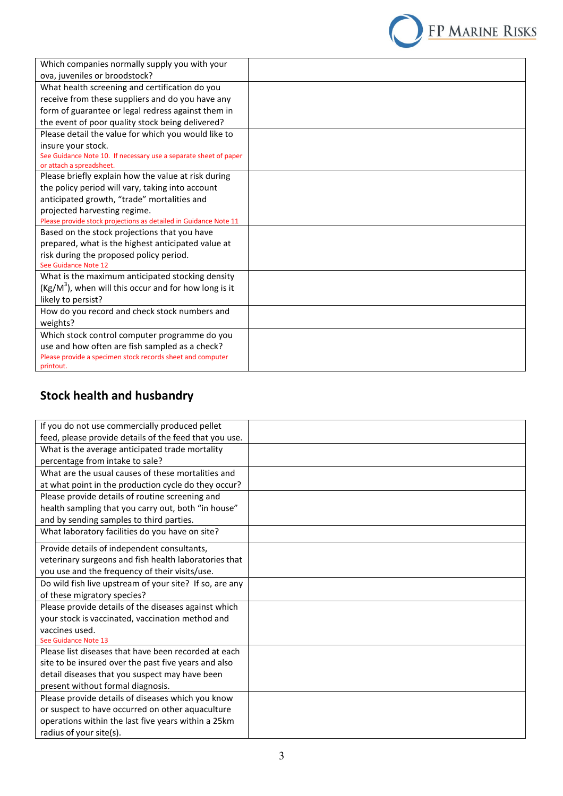

| Which companies normally supply you with your                           |  |
|-------------------------------------------------------------------------|--|
| ova, juveniles or broodstock?                                           |  |
| What health screening and certification do you                          |  |
| receive from these suppliers and do you have any                        |  |
| form of guarantee or legal redress against them in                      |  |
| the event of poor quality stock being delivered?                        |  |
| Please detail the value for which you would like to                     |  |
| insure your stock.                                                      |  |
| See Guidance Note 10. If necessary use a separate sheet of paper        |  |
| or attach a spreadsheet.                                                |  |
| Please briefly explain how the value at risk during                     |  |
| the policy period will vary, taking into account                        |  |
| anticipated growth, "trade" mortalities and                             |  |
| projected harvesting regime.                                            |  |
| Please provide stock projections as detailed in Guidance Note 11        |  |
| Based on the stock projections that you have                            |  |
| prepared, what is the highest anticipated value at                      |  |
| risk during the proposed policy period.<br>See Guidance Note 12         |  |
| What is the maximum anticipated stocking density                        |  |
| $(Kg/M3)$ , when will this occur and for how long is it                 |  |
|                                                                         |  |
| likely to persist?                                                      |  |
| How do you record and check stock numbers and                           |  |
| weights?                                                                |  |
| Which stock control computer programme do you                           |  |
| use and how often are fish sampled as a check?                          |  |
| Please provide a specimen stock records sheet and computer<br>printout. |  |
|                                                                         |  |

## **Stock health and husbandry**

| If you do not use commercially produced pellet          |  |
|---------------------------------------------------------|--|
| feed, please provide details of the feed that you use.  |  |
| What is the average anticipated trade mortality         |  |
| percentage from intake to sale?                         |  |
| What are the usual causes of these mortalities and      |  |
| at what point in the production cycle do they occur?    |  |
| Please provide details of routine screening and         |  |
| health sampling that you carry out, both "in house"     |  |
| and by sending samples to third parties.                |  |
| What laboratory facilities do you have on site?         |  |
| Provide details of independent consultants,             |  |
| veterinary surgeons and fish health laboratories that   |  |
| you use and the frequency of their visits/use.          |  |
| Do wild fish live upstream of your site? If so, are any |  |
| of these migratory species?                             |  |
| Please provide details of the diseases against which    |  |
| your stock is vaccinated, vaccination method and        |  |
| vaccines used.                                          |  |
| See Guidance Note 13                                    |  |
| Please list diseases that have been recorded at each    |  |
| site to be insured over the past five years and also    |  |
| detail diseases that you suspect may have been          |  |
| present without formal diagnosis.                       |  |
| Please provide details of diseases which you know       |  |
| or suspect to have occurred on other aquaculture        |  |
| operations within the last five years within a 25km     |  |
| radius of your site(s).                                 |  |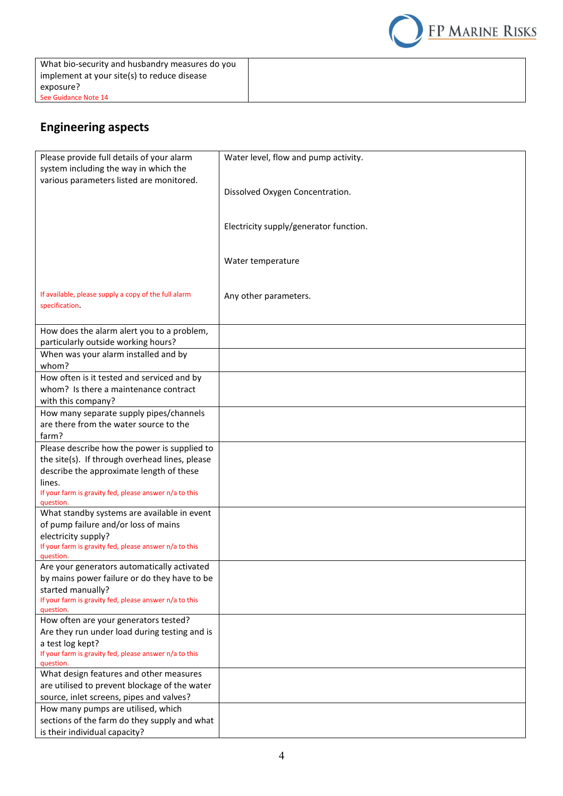What bio-security and husbandry measures do you implement at your site(s) to reduce disease exposure? See Guidance Note 14



## **Engineering aspects**

| Please provide full details of your alarm                           | Water level, flow and pump activity.   |
|---------------------------------------------------------------------|----------------------------------------|
| system including the way in which the                               |                                        |
| various parameters listed are monitored.                            |                                        |
|                                                                     | Dissolved Oxygen Concentration.        |
|                                                                     |                                        |
|                                                                     |                                        |
|                                                                     |                                        |
|                                                                     | Electricity supply/generator function. |
|                                                                     |                                        |
|                                                                     |                                        |
|                                                                     | Water temperature                      |
|                                                                     |                                        |
|                                                                     |                                        |
| If available, please supply a copy of the full alarm                | Any other parameters.                  |
| specification.                                                      |                                        |
|                                                                     |                                        |
| How does the alarm alert you to a problem,                          |                                        |
| particularly outside working hours?                                 |                                        |
| When was your alarm installed and by                                |                                        |
| whom?                                                               |                                        |
| How often is it tested and serviced and by                          |                                        |
| whom? Is there a maintenance contract                               |                                        |
| with this company?                                                  |                                        |
| How many separate supply pipes/channels                             |                                        |
| are there from the water source to the                              |                                        |
| farm?                                                               |                                        |
|                                                                     |                                        |
| Please describe how the power is supplied to                        |                                        |
| the site(s). If through overhead lines, please                      |                                        |
| describe the approximate length of these                            |                                        |
| lines.                                                              |                                        |
| If your farm is gravity fed, please answer n/a to this              |                                        |
| question.<br>What standby systems are available in event            |                                        |
|                                                                     |                                        |
| of pump failure and/or loss of mains                                |                                        |
| electricity supply?                                                 |                                        |
| If your farm is gravity fed, please answer n/a to this<br>question. |                                        |
| Are your generators automatically activated                         |                                        |
| by mains power failure or do they have to be                        |                                        |
| started manually?                                                   |                                        |
| If your farm is gravity fed, please answer n/a to this              |                                        |
| question.                                                           |                                        |
| How often are your generators tested?                               |                                        |
| Are they run under load during testing and is                       |                                        |
| a test log kept?                                                    |                                        |
| If your farm is gravity fed, please answer n/a to this              |                                        |
| question.                                                           |                                        |
| What design features and other measures                             |                                        |
| are utilised to prevent blockage of the water                       |                                        |
| source, inlet screens, pipes and valves?                            |                                        |
| How many pumps are utilised, which                                  |                                        |
| sections of the farm do they supply and what                        |                                        |
| is their individual capacity?                                       |                                        |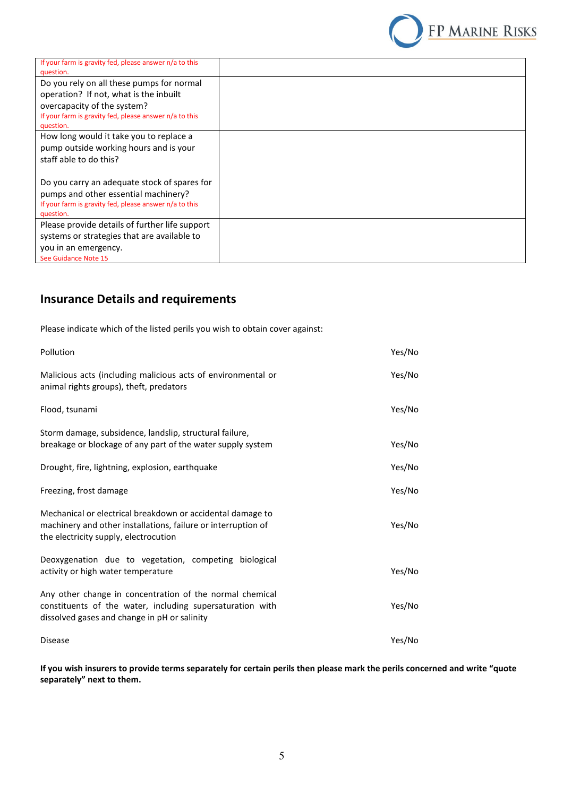

| If your farm is gravity fed, please answer n/a to this |  |
|--------------------------------------------------------|--|
| question.                                              |  |
| Do you rely on all these pumps for normal              |  |
| operation? If not, what is the inbuilt                 |  |
| overcapacity of the system?                            |  |
| If your farm is gravity fed, please answer n/a to this |  |
| question.                                              |  |
| How long would it take you to replace a                |  |
| pump outside working hours and is your                 |  |
| staff able to do this?                                 |  |
|                                                        |  |
| Do you carry an adequate stock of spares for           |  |
| pumps and other essential machinery?                   |  |
| If your farm is gravity fed, please answer n/a to this |  |
| question.                                              |  |
| Please provide details of further life support         |  |
| systems or strategies that are available to            |  |
| you in an emergency.                                   |  |
| See Guidance Note 15                                   |  |
|                                                        |  |

## **Insurance Details and requirements**

Please indicate which of the listed perils you wish to obtain cover against:

| Pollution                                                                                                                                                             | Yes/No |
|-----------------------------------------------------------------------------------------------------------------------------------------------------------------------|--------|
| Malicious acts (including malicious acts of environmental or<br>animal rights groups), theft, predators                                                               | Yes/No |
| Flood, tsunami                                                                                                                                                        | Yes/No |
| Storm damage, subsidence, landslip, structural failure,<br>breakage or blockage of any part of the water supply system                                                | Yes/No |
| Drought, fire, lightning, explosion, earthquake                                                                                                                       | Yes/No |
| Freezing, frost damage                                                                                                                                                | Yes/No |
| Mechanical or electrical breakdown or accidental damage to<br>machinery and other installations, failure or interruption of<br>the electricity supply, electrocution  | Yes/No |
| Deoxygenation due to vegetation, competing biological<br>activity or high water temperature                                                                           | Yes/No |
| Any other change in concentration of the normal chemical<br>constituents of the water, including supersaturation with<br>dissolved gases and change in pH or salinity | Yes/No |
| <b>Disease</b>                                                                                                                                                        | Yes/No |

**If you wish insurers to provide terms separately for certain perils then please mark the perils concerned and write "quote separately" next to them.**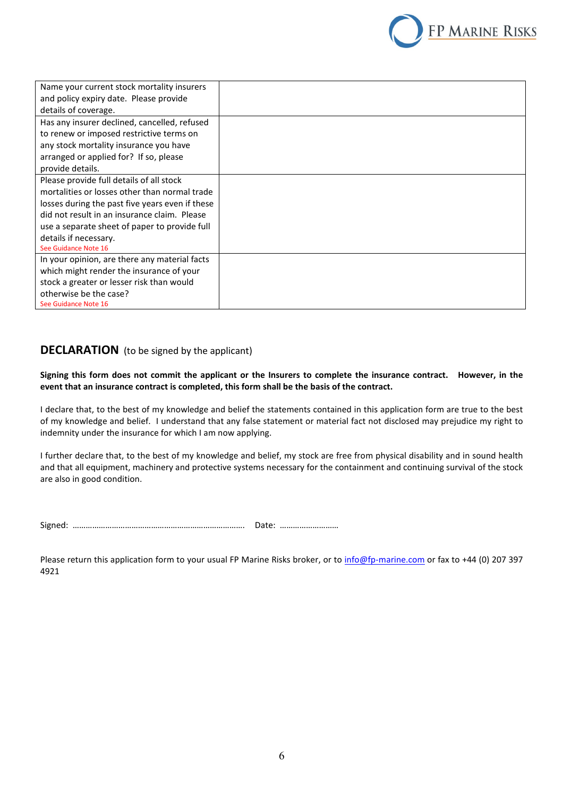

| Name your current stock mortality insurers      |  |
|-------------------------------------------------|--|
| and policy expiry date. Please provide          |  |
| details of coverage.                            |  |
| Has any insurer declined, cancelled, refused    |  |
| to renew or imposed restrictive terms on        |  |
| any stock mortality insurance you have          |  |
| arranged or applied for? If so, please          |  |
| provide details.                                |  |
| Please provide full details of all stock        |  |
| mortalities or losses other than normal trade   |  |
| losses during the past five years even if these |  |
| did not result in an insurance claim. Please    |  |
| use a separate sheet of paper to provide full   |  |
| details if necessary.                           |  |
| See Guidance Note 16                            |  |
| In your opinion, are there any material facts   |  |
| which might render the insurance of your        |  |
| stock a greater or lesser risk than would       |  |
| otherwise be the case?                          |  |
| See Guidance Note 16                            |  |

#### **DECLARATION** (to be signed by the applicant)

**Signing this form does not commit the applicant or the Insurers to complete the insurance contract. However, in the event that an insurance contract is completed, this form shall be the basis of the contract.**

I declare that, to the best of my knowledge and belief the statements contained in this application form are true to the best of my knowledge and belief. I understand that any false statement or material fact not disclosed may prejudice my right to indemnity under the insurance for which I am now applying.

I further declare that, to the best of my knowledge and belief, my stock are free from physical disability and in sound health and that all equipment, machinery and protective systems necessary for the containment and continuing survival of the stock are also in good condition.

Signed: ……………………………………………………………………. Date: ………………………

Please return this application form to your usual FP Marine Risks broker, or to info@fp-marine.com or fax to +44 (0) 207 397 4921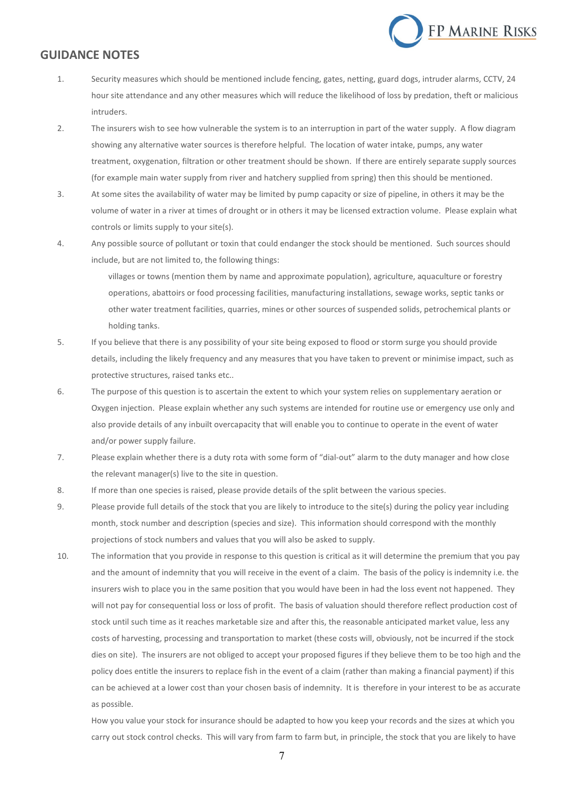

#### **GUIDANCE NOTES**

- 1. Security measures which should be mentioned include fencing, gates, netting, guard dogs, intruder alarms, CCTV, 24 hour site attendance and any other measures which will reduce the likelihood of loss by predation, theft or malicious intruders.
- 2. The insurers wish to see how vulnerable the system is to an interruption in part of the water supply. A flow diagram showing any alternative water sources is therefore helpful. The location of water intake, pumps, any water treatment, oxygenation, filtration or other treatment should be shown. If there are entirely separate supply sources (for example main water supply from river and hatchery supplied from spring) then this should be mentioned.
- 3. At some sites the availability of water may be limited by pump capacity or size of pipeline, in others it may be the volume of water in a river at times of drought or in others it may be licensed extraction volume. Please explain what controls or limits supply to your site(s).
- 4. Any possible source of pollutant or toxin that could endanger the stock should be mentioned. Such sources should include, but are not limited to, the following things:

villages or towns (mention them by name and approximate population), agriculture, aquaculture or forestry operations, abattoirs or food processing facilities, manufacturing installations, sewage works, septic tanks or other water treatment facilities, quarries, mines or other sources of suspended solids, petrochemical plants or holding tanks.

- 5. If you believe that there is any possibility of your site being exposed to flood or storm surge you should provide details, including the likely frequency and any measures that you have taken to prevent or minimise impact, such as protective structures, raised tanks etc..
- 6. The purpose of this question is to ascertain the extent to which your system relies on supplementary aeration or Oxygen injection. Please explain whether any such systems are intended for routine use or emergency use only and also provide details of any inbuilt overcapacity that will enable you to continue to operate in the event of water and/or power supply failure.
- 7. Please explain whether there is a duty rota with some form of "dial-out" alarm to the duty manager and how close the relevant manager(s) live to the site in question.
- 8. If more than one species is raised, please provide details of the split between the various species.
- 9. Please provide full details of the stock that you are likely to introduce to the site(s) during the policy year including month, stock number and description (species and size). This information should correspond with the monthly projections of stock numbers and values that you will also be asked to supply.
- 10. The information that you provide in response to this question is critical as it will determine the premium that you pay and the amount of indemnity that you will receive in the event of a claim. The basis of the policy is indemnity i.e. the insurers wish to place you in the same position that you would have been in had the loss event not happened. They will not pay for consequential loss or loss of profit. The basis of valuation should therefore reflect production cost of stock until such time as it reaches marketable size and after this, the reasonable anticipated market value, less any costs of harvesting, processing and transportation to market (these costs will, obviously, not be incurred if the stock dies on site). The insurers are not obliged to accept your proposed figures if they believe them to be too high and the policy does entitle the insurers to replace fish in the event of a claim (rather than making a financial payment) if this can be achieved at a lower cost than your chosen basis of indemnity. It is therefore in your interest to be as accurate as possible.

How you value your stock for insurance should be adapted to how you keep your records and the sizes at which you carry out stock control checks. This will vary from farm to farm but, in principle, the stock that you are likely to have